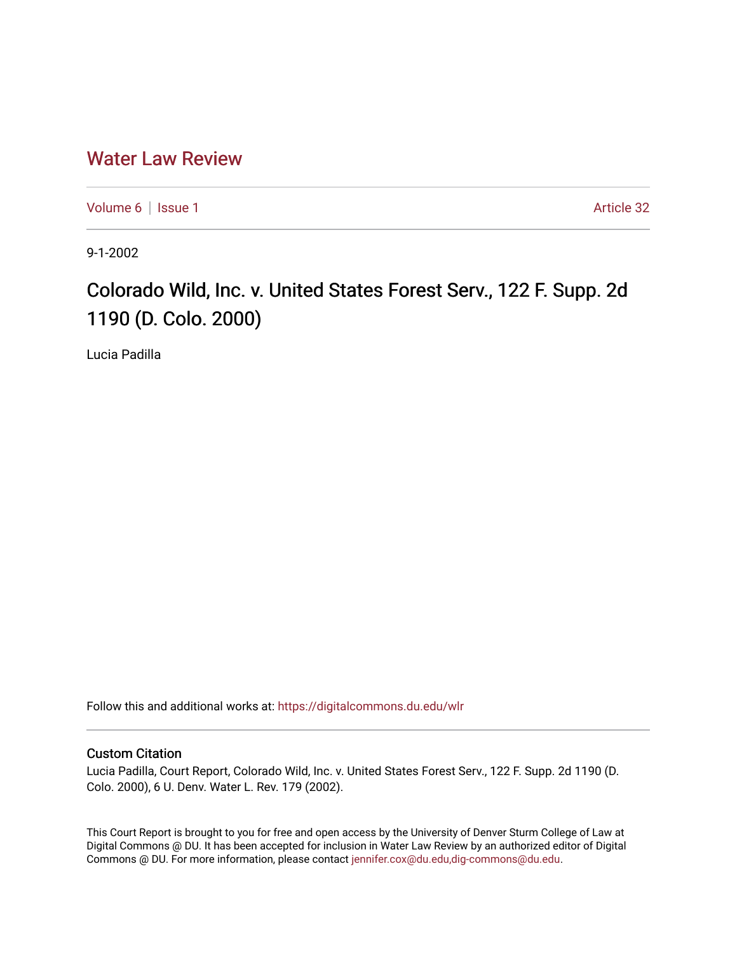## [Water Law Review](https://digitalcommons.du.edu/wlr)

[Volume 6](https://digitalcommons.du.edu/wlr/vol6) | [Issue 1](https://digitalcommons.du.edu/wlr/vol6/iss1) Article 32

9-1-2002

## Colorado Wild, Inc. v. United States Forest Serv., 122 F. Supp. 2d 1190 (D. Colo. 2000)

Lucia Padilla

Follow this and additional works at: [https://digitalcommons.du.edu/wlr](https://digitalcommons.du.edu/wlr?utm_source=digitalcommons.du.edu%2Fwlr%2Fvol6%2Fiss1%2F32&utm_medium=PDF&utm_campaign=PDFCoverPages) 

## Custom Citation

Lucia Padilla, Court Report, Colorado Wild, Inc. v. United States Forest Serv., 122 F. Supp. 2d 1190 (D. Colo. 2000), 6 U. Denv. Water L. Rev. 179 (2002).

This Court Report is brought to you for free and open access by the University of Denver Sturm College of Law at Digital Commons @ DU. It has been accepted for inclusion in Water Law Review by an authorized editor of Digital Commons @ DU. For more information, please contact [jennifer.cox@du.edu,dig-commons@du.edu.](mailto:jennifer.cox@du.edu,dig-commons@du.edu)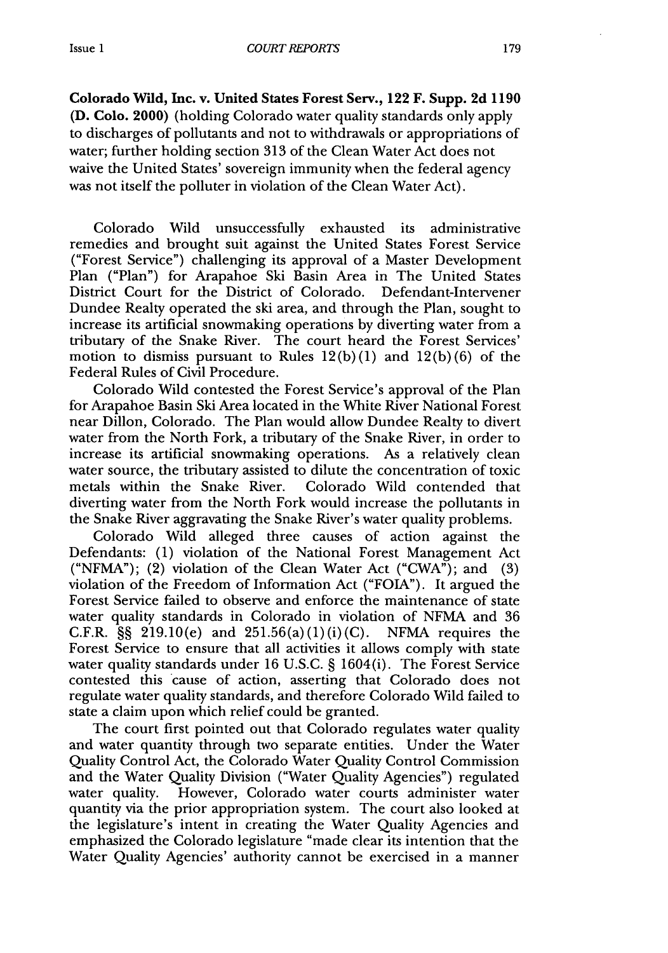**Colorado Wild, Inc. v. United States Forest Serv., 122 F. Supp. 2d 1190 (D. Colo.** 2000) (holding Colorado water quality standards only apply to discharges of pollutants and not to withdrawals or appropriations of water; further holding section **313** of the Clean Water Act does not waive the United States' sovereign immunity when the federal agency was not itself the polluter in violation of the Clean Water Act).

Colorado Wild unsuccessfully exhausted its administrative remedies and brought suit against the United States Forest Service ("Forest Service") challenging its approval of a Master Development Plan ("Plan") for Arapahoe Ski Basin Area in The United States District Court for the District of Colorado. Defendant-Intervener Dundee Realty operated the ski area, and through the Plan, sought to increase its artificial snowmaking operations by diverting water from a tributary of the Snake River. The court heard the Forest Services' motion to dismiss pursuant to Rules 12(b) **(1)** and **12(b) (6)** of the Federal Rules of Civil Procedure.

Colorado Wild contested the Forest Service's approval of the Plan for Arapahoe Basin Ski Area located in the White River National Forest near Dillon, Colorado. The Plan would allow Dundee Realty to divert water from the North Fork, a tributary of the Snake River, in order to increase its artificial snowmaking operations. As a relatively clean water source, the tributary assisted to dilute the concentration of toxic metals within the Snake River. Colorado Wild contended that diverting water from the North Fork would increase the pollutants in the Snake River aggravating the Snake River's water quality problems.

Colorado Wild alleged three causes of action against the Defendants: (1) violation of the National Forest Management Act ("NFMA"); (2) violation of the Clean Water Act ("CWA"); and (3) violation of the Freedom of Information Act ("FOIA"). It argued the Forest Service failed to observe and enforce the maintenance of state water quality standards in Colorado in violation of NFMA and 36 C.F.R.  $\S$  219.10(e) and 251.56(a)(1)(i)(C). NFMA requires the Forest Service to ensure that all activities it allows comply with state water quality standards under 16 U.S.C. § 1604(i). The Forest Service contested this cause of action, asserting that Colorado does not regulate water quality standards, and therefore Colorado Wild failed to state a claim upon which relief could be granted.

The court first pointed out that Colorado regulates water quality and water quantity through two separate entities. Under the Water Quality Control Act, the Colorado Water Quality Control Commission and the Water Quality Division ("Water Quality Agencies") regulated water quality. However, Colorado water courts administer water quantity via the prior appropriation system. The court also looked at the legislature's intent in creating the Water Quality Agencies and emphasized the Colorado legislature "made clear its intention that the Water Quality Agencies' authority cannot be exercised in a manner